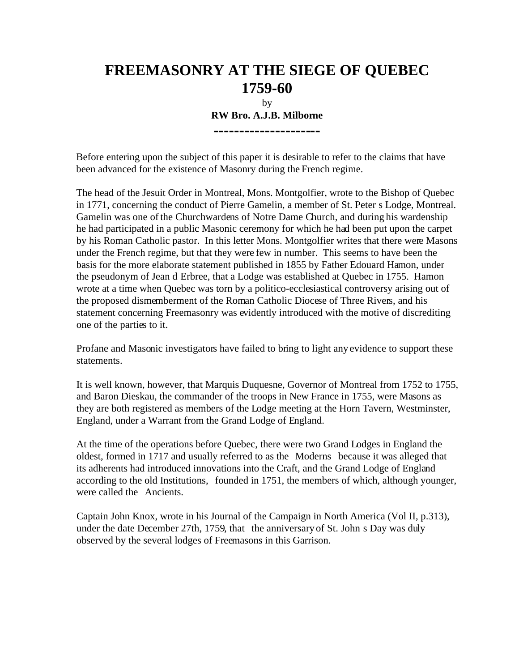## **FREEMASONRY AT THE SIEGE OF QUEBEC 1759-60**

by **RW Bro. A.J.B. Milborne ---------------------**

Before entering upon the subject of this paper it is desirable to refer to the claims that have been advanced for the existence of Masonry during the French regime.

The head of the Jesuit Order in Montreal, Mons. Montgolfier, wrote to the Bishop of Quebec in 1771, concerning the conduct of Pierre Gamelin, a member of St. Peter s Lodge, Montreal. Gamelin was one of the Churchwardens of Notre Dame Church, and during his wardenship he had participated in a public Masonic ceremony for which he had been put upon the carpet by his Roman Catholic pastor. In this letter Mons. Montgolfier writes that there were Masons under the French regime, but that they were few in number. This seems to have been the basis for the more elaborate statement published in 1855 by Father Edouard Hamon, under the pseudonym of Jean d Erbree, that a Lodge was established at Quebec in 1755. Hamon wrote at a time when Quebec was torn by a politico-ecclesiastical controversy arising out of the proposed dismemberment of the Roman Catholic Diocese of Three Rivers, and his statement concerning Freemasonry was evidently introduced with the motive of discrediting one of the parties to it.

Profane and Masonic investigators have failed to bring to light any evidence to support these statements.

It is well known, however, that Marquis Duquesne, Governor of Montreal from 1752 to 1755, and Baron Dieskau, the commander of the troops in New France in 1755, were Masons as they are both registered as members of the Lodge meeting at the Horn Tavern, Westminster, England, under a Warrant from the Grand Lodge of England.

At the time of the operations before Quebec, there were two Grand Lodges in England the oldest, formed in 1717 and usually referred to as the Moderns because it was alleged that its adherents had introduced innovations into the Craft, and the Grand Lodge of England according to the old Institutions, founded in 1751, the members of which, although younger, were called the Ancients.

Captain John Knox, wrote in his Journal of the Campaign in North America (Vol II, p.313), under the date December 27th, 1759, that the anniversary of St. John s Day was duly observed by the several lodges of Freemasons in this Garrison.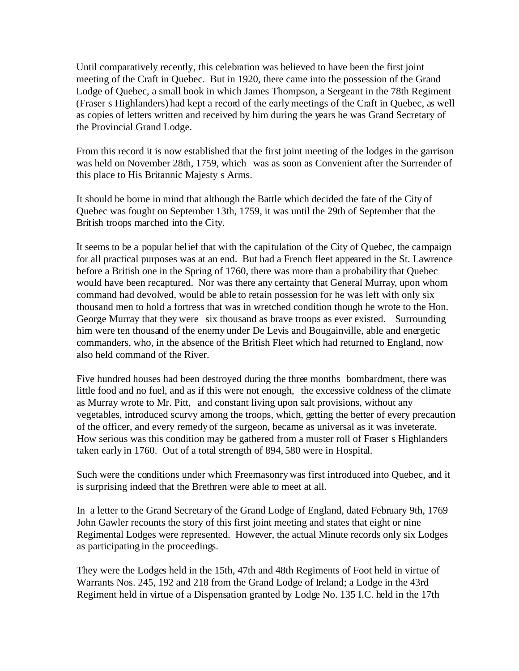Until comparatively recently, this celebration was believed to have been the first joint meeting of the Craft in Quebec. But in 1920, there came into the possession of the Grand Lodge of Quebec, a small book in which James Thompson, a Sergeant in the 78th Regiment (Fraser s Highlanders) had kept a record of the early meetings of the Craft in Quebec, as well as copies of letters written and received by him during the years he was Grand Secretary of the Provincial Grand Lodge.

From this record it is now established that the first joint meeting of the lodges in the garrison was held on November 28th, 1759, which was as soon as Convenient after the Surrender of this place to His Britannic Majesty s Arms.

It should be borne in mind that although the Battle which decided the fate of the City of Quebec was fought on September 13th, 1759, it was until the 29th of September that the British troops marched into the City.

It seems to be a popular belief that with the capitulation of the City of Quebec, the campaign for all practical purposes was at an end. But had a French fleet appeared in the St. Lawrence before a British one in the Spring of 1760, there was more than a probability that Quebec would have been recaptured. Nor was there any certainty that General Murray, upon whom command had devolved, would be able to retain possession for he was left with only six thousand men to hold a fortress that was in wretched condition though he wrote to the Hon. George Murray that they were six thousand as brave troops as ever existed. Surrounding him were ten thousand of the enemy under De Levis and Bougainville, able and energetic commanders, who, in the absence of the British Fleet which had returned to England, now also held command of the River.

Five hundred houses had been destroyed during the three months bombardment, there was little food and no fuel, and as if this were not enough, the excessive coldness of the climate as Murray wrote to Mr. Pitt, and constant living upon salt provisions, without any vegetables, introduced scurvy among the troops, which, getting the better of every precaution of the officer, and every remedy of the surgeon, became as universal as it was inveterate. How serious was this condition may be gathered from a muster roll of Fraser s Highlanders taken early in 1760. Out of a total strength of 894, 580 were in Hospital.

Such were the conditions under which Freemasonry was first introduced into Quebec, and it is surprising indeed that the Brethren were able to meet at all.

In a letter to the Grand Secretary of the Grand Lodge of England, dated February 9th, 1769 John Gawler recounts the story of this first joint meeting and states that eight or nine Regimental Lodges were represented. However, the actual Minute records only six Lodges as participating in the proceedings.

They were the Lodges held in the 15th, 47th and 48th Regiments of Foot held in virtue of Warrants Nos. 245, 192 and 218 from the Grand Lodge of Ireland; a Lodge in the 43rd Regiment held in virtue of a Dispensation granted by Lodge No. 135 I.C. held in the 17th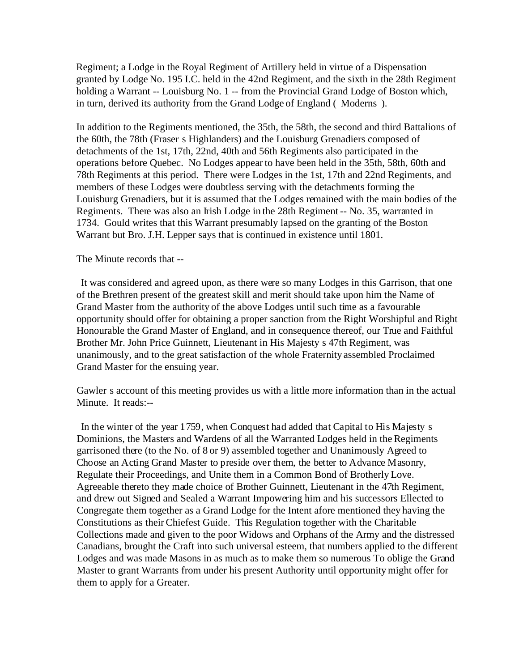Regiment; a Lodge in the Royal Regiment of Artillery held in virtue of a Dispensation granted by Lodge No. 195 I.C. held in the 42nd Regiment, and the sixth in the 28th Regiment holding a Warrant -- Louisburg No. 1 -- from the Provincial Grand Lodge of Boston which, in turn, derived its authority from the Grand Lodge of England ( Moderns ).

In addition to the Regiments mentioned, the 35th, the 58th, the second and third Battalions of the 60th, the 78th (Fraser s Highlanders) and the Louisburg Grenadiers composed of detachments of the 1st, 17th, 22nd, 40th and 56th Regiments also participated in the operations before Quebec. No Lodges appear to have been held in the 35th, 58th, 60th and 78th Regiments at this period. There were Lodges in the 1st, 17th and 22nd Regiments, and members of these Lodges were doubtless serving with the detachments forming the Louisburg Grenadiers, but it is assumed that the Lodges remained with the main bodies of the Regiments. There was also an Irish Lodge in the 28th Regiment -- No. 35, warranted in 1734. Gould writes that this Warrant presumably lapsed on the granting of the Boston Warrant but Bro. J.H. Lepper says that is continued in existence until 1801.

The Minute records that --

 It was considered and agreed upon, as there were so many Lodges in this Garrison, that one of the Brethren present of the greatest skill and merit should take upon him the Name of Grand Master from the authority of the above Lodges until such time as a favourable opportunity should offer for obtaining a proper sanction from the Right Worshipful and Right Honourable the Grand Master of England, and in consequence thereof, our True and Faithful Brother Mr. John Price Guinnett, Lieutenant in His Majesty s 47th Regiment, was unanimously, and to the great satisfaction of the whole Fraternity assembled Proclaimed Grand Master for the ensuing year.

Gawler s account of this meeting provides us with a little more information than in the actual Minute. It reads:--

 In the winter of the year 1759, when Conquest had added that Capital to His Majesty s Dominions, the Masters and Wardens of all the Warranted Lodges held in the Regiments garrisoned there (to the No. of 8 or 9) assembled together and Unanimously Agreed to Choose an Acting Grand Master to preside over them, the better to Advance Masonry, Regulate their Proceedings, and Unite them in a Common Bond of Brotherly Love. Agreeable thereto they made choice of Brother Guinnett, Lieutenant in the 47th Regiment, and drew out Signed and Sealed a Warrant Impowering him and his successors Ellected to Congregate them together as a Grand Lodge for the Intent afore mentioned they having the Constitutions as their Chiefest Guide. This Regulation together with the Charitable Collections made and given to the poor Widows and Orphans of the Army and the distressed Canadians, brought the Craft into such universal esteem, that numbers applied to the different Lodges and was made Masons in as much as to make them so numerous To oblige the Grand Master to grant Warrants from under his present Authority until opportunity might offer for them to apply for a Greater.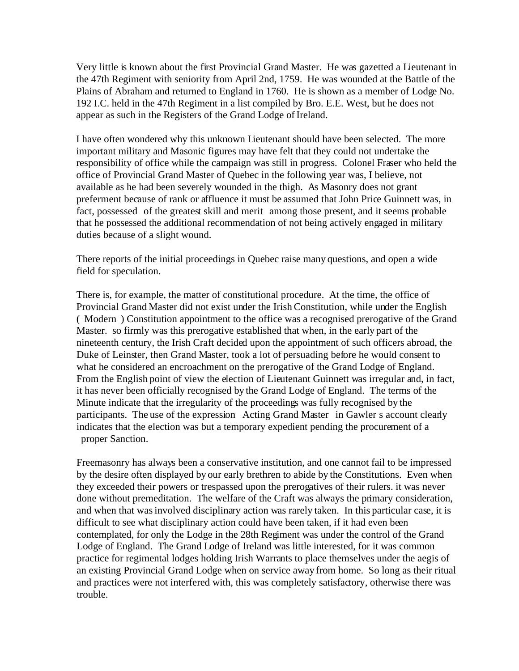Very little is known about the first Provincial Grand Master. He was gazetted a Lieutenant in the 47th Regiment with seniority from April 2nd, 1759. He was wounded at the Battle of the Plains of Abraham and returned to England in 1760. He is shown as a member of Lodge No. 192 I.C. held in the 47th Regiment in a list compiled by Bro. E.E. West, but he does not appear as such in the Registers of the Grand Lodge of Ireland.

I have often wondered why this unknown Lieutenant should have been selected. The more important military and Masonic figures may have felt that they could not undertake the responsibility of office while the campaign was still in progress. Colonel Fraser who held the office of Provincial Grand Master of Quebec in the following year was, I believe, not available as he had been severely wounded in the thigh. As Masonry does not grant preferment because of rank or affluence it must be assumed that John Price Guinnett was, in fact, possessed of the greatest skill and merit among those present, and it seems probable that he possessed the additional recommendation of not being actively engaged in military duties because of a slight wound.

There reports of the initial proceedings in Quebec raise many questions, and open a wide field for speculation.

There is, for example, the matter of constitutional procedure. At the time, the office of Provincial Grand Master did not exist under the Irish Constitution, while under the English ( Modern ) Constitution appointment to the office was a recognised prerogative of the Grand Master. so firmly was this prerogative established that when, in the early part of the nineteenth century, the Irish Craft decided upon the appointment of such officers abroad, the Duke of Leinster, then Grand Master, took a lot of persuading before he would consent to what he considered an encroachment on the prerogative of the Grand Lodge of England. From the English point of view the election of Lieutenant Guinnett was irregular and, in fact, it has never been officially recognised by the Grand Lodge of England. The terms of the Minute indicate that the irregularity of the proceedings was fully recognised by the participants. The use of the expression Acting Grand Master in Gawler s account clearly indicates that the election was but a temporary expedient pending the procurement of a proper Sanction.

Freemasonry has always been a conservative institution, and one cannot fail to be impressed by the desire often displayed by our early brethren to abide by the Constitutions. Even when they exceeded their powers or trespassed upon the prerogatives of their rulers. it was never done without premeditation. The welfare of the Craft was always the primary consideration, and when that was involved disciplinary action was rarely taken. In this particular case, it is difficult to see what disciplinary action could have been taken, if it had even been contemplated, for only the Lodge in the 28th Regiment was under the control of the Grand Lodge of England. The Grand Lodge of Ireland was little interested, for it was common practice for regimental lodges holding Irish Warrants to place themselves under the aegis of an existing Provincial Grand Lodge when on service away from home. So long as their ritual and practices were not interfered with, this was completely satisfactory, otherwise there was trouble.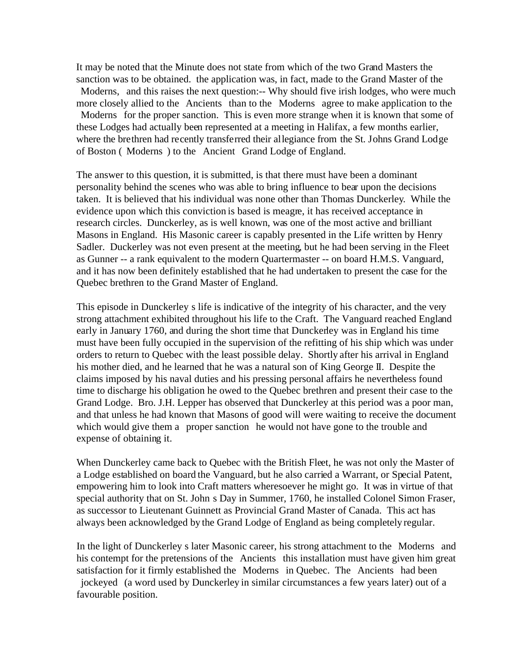It may be noted that the Minute does not state from which of the two Grand Masters the sanction was to be obtained. the application was, in fact, made to the Grand Master of the Moderns, and this raises the next question:-- Why should five irish lodges, who were much more closely allied to the Ancients than to the Moderns agree to make application to the Moderns for the proper sanction. This is even more strange when it is known that some of these Lodges had actually been represented at a meeting in Halifax, a few months earlier, where the brethren had recently transferred their allegiance from the St. Johns Grand Lodge of Boston ( Moderns ) to the Ancient Grand Lodge of England.

The answer to this question, it is submitted, is that there must have been a dominant personality behind the scenes who was able to bring influence to bear upon the decisions taken. It is believed that his individual was none other than Thomas Dunckerley. While the evidence upon which this conviction is based is meagre, it has received acceptance in research circles. Dunckerley, as is well known, was one of the most active and brilliant Masons in England. His Masonic career is capably presented in the Life written by Henry Sadler. Duckerley was not even present at the meeting, but he had been serving in the Fleet as Gunner -- a rank equivalent to the modern Quartermaster -- on board H.M.S. Vanguard, and it has now been definitely established that he had undertaken to present the case for the Quebec brethren to the Grand Master of England.

This episode in Dunckerley s life is indicative of the integrity of his character, and the very strong attachment exhibited throughout his life to the Craft. The Vanguard reached England early in January 1760, and during the short time that Dunckerley was in England his time must have been fully occupied in the supervision of the refitting of his ship which was under orders to return to Quebec with the least possible delay. Shortly after his arrival in England his mother died, and he learned that he was a natural son of King George II. Despite the claims imposed by his naval duties and his pressing personal affairs he nevertheless found time to discharge his obligation he owed to the Quebec brethren and present their case to the Grand Lodge. Bro. J.H. Lepper has observed that Dunckerley at this period was a poor man, and that unless he had known that Masons of good will were waiting to receive the document which would give them a proper sanction he would not have gone to the trouble and expense of obtaining it.

When Dunckerley came back to Quebec with the British Fleet, he was not only the Master of a Lodge established on board the Vanguard, but he also carried a Warrant, or Special Patent, empowering him to look into Craft matters wheresoever he might go. It was in virtue of that special authority that on St. John s Day in Summer, 1760, he installed Colonel Simon Fraser, as successor to Lieutenant Guinnett as Provincial Grand Master of Canada. This act has always been acknowledged by the Grand Lodge of England as being completely regular.

In the light of Dunckerley s later Masonic career, his strong attachment to the Moderns and his contempt for the pretensions of the Ancients this installation must have given him great satisfaction for it firmly established the Moderns in Quebec. The Ancients had been jockeyed (a word used by Dunckerley in similar circumstances a few years later) out of a favourable position.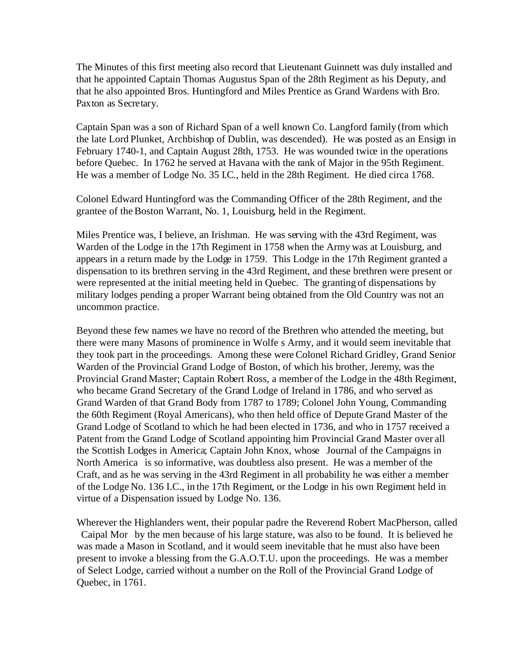The Minutes of this first meeting also record that Lieutenant Guinnett was duly installed and that he appointed Captain Thomas Augustus Span of the 28th Regiment as his Deputy, and that he also appointed Bros. Huntingford and Miles Prentice as Grand Wardens with Bro. Paxton as Secretary.

Captain Span was a son of Richard Span of a well known Co. Langford family (from which the late Lord Plunket, Archbishop of Dublin, was descended). He was posted as an Ensign in February 1740-1, and Captain August 28th, 1753. He was wounded twice in the operations before Quebec. In 1762 he served at Havana with the rank of Major in the 95th Regiment. He was a member of Lodge No. 35 I.C., held in the 28th Regiment. He died circa 1768.

Colonel Edward Huntingford was the Commanding Officer of the 28th Regiment, and the grantee of the Boston Warrant, No. 1, Louisburg, held in the Regiment.

Miles Prentice was, I believe, an Irishman. He was serving with the 43rd Regiment, was Warden of the Lodge in the 17th Regiment in 1758 when the Army was at Louisburg, and appears in a return made by the Lodge in 1759. This Lodge in the 17th Regiment granted a dispensation to its brethren serving in the 43rd Regiment, and these brethren were present or were represented at the initial meeting held in Quebec. The granting of dispensations by military lodges pending a proper Warrant being obtained from the Old Country was not an uncommon practice.

Beyond these few names we have no record of the Brethren who attended the meeting, but there were many Masons of prominence in Wolfe s Army, and it would seem inevitable that they took part in the proceedings. Among these were Colonel Richard Gridley, Grand Senior Warden of the Provincial Grand Lodge of Boston, of which his brother, Jeremy, was the Provincial Grand Master; Captain Robert Ross, a member of the Lodge in the 48th Regiment, who became Grand Secretary of the Grand Lodge of Ireland in 1786, and who served as Grand Warden of that Grand Body from 1787 to 1789; Colonel John Young, Commanding the 60th Regiment (Royal Americans), who then held office of Depute Grand Master of the Grand Lodge of Scotland to which he had been elected in 1736, and who in 1757 received a Patent from the Grand Lodge of Scotland appointing him Provincial Grand Master over all the Scottish Lodges in America; Captain John Knox, whose Journal of the Campaigns in North America is so informative, was doubtless also present. He was a member of the Craft, and as he was serving in the 43rd Regiment in all probability he was either a member of the Lodge No. 136 I.C., in the 17th Regiment, or the Lodge in his own Regiment held in virtue of a Dispensation issued by Lodge No. 136.

Wherever the Highlanders went, their popular padre the Reverend Robert MacPherson, called Caipal Mor by the men because of his large stature, was also to be found. It is believed he was made a Mason in Scotland, and it would seem inevitable that he must also have been present to invoke a blessing from the G.A.O.T.U. upon the proceedings. He was a member of Select Lodge, carried without a number on the Roll of the Provincial Grand Lodge of Quebec, in 1761.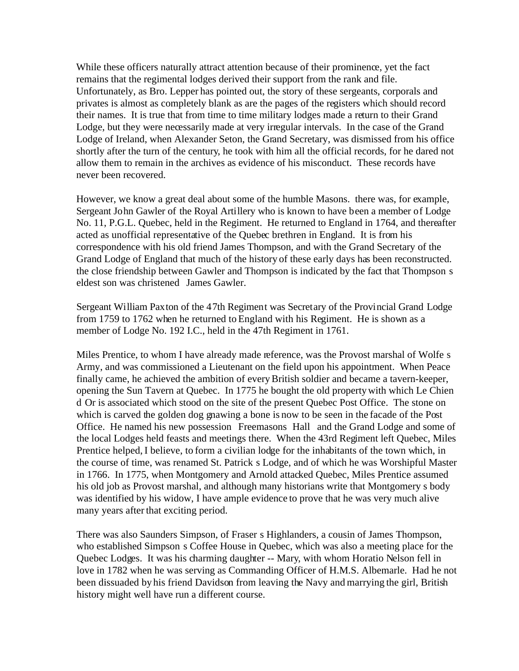While these officers naturally attract attention because of their prominence, yet the fact remains that the regimental lodges derived their support from the rank and file. Unfortunately, as Bro. Lepper has pointed out, the story of these sergeants, corporals and privates is almost as completely blank as are the pages of the registers which should record their names. It is true that from time to time military lodges made a return to their Grand Lodge, but they were necessarily made at very irregular intervals. In the case of the Grand Lodge of Ireland, when Alexander Seton, the Grand Secretary, was dismissed from his office shortly after the turn of the century, he took with him all the official records, for he dared not allow them to remain in the archives as evidence of his misconduct. These records have never been recovered.

However, we know a great deal about some of the humble Masons. there was, for example, Sergeant John Gawler of the Royal Artillery who is known to have been a member of Lodge No. 11, P.G.L. Quebec, held in the Regiment. He returned to England in 1764, and thereafter acted as unofficial representative of the Quebec brethren in England. It is from his correspondence with his old friend James Thompson, and with the Grand Secretary of the Grand Lodge of England that much of the history of these early days has been reconstructed. the close friendship between Gawler and Thompson is indicated by the fact that Thompson s eldest son was christened James Gawler.

Sergeant William Paxton of the 47th Regiment was Secretary of the Provincial Grand Lodge from 1759 to 1762 when he returned to England with his Regiment. He is shown as a member of Lodge No. 192 I.C., held in the 47th Regiment in 1761.

Miles Prentice, to whom I have already made reference, was the Provost marshal of Wolfe s Army, and was commissioned a Lieutenant on the field upon his appointment. When Peace finally came, he achieved the ambition of every British soldier and became a tavern-keeper, opening the Sun Tavern at Quebec. In 1775 he bought the old property with which Le Chien d Or is associated which stood on the site of the present Quebec Post Office. The stone on which is carved the golden dog gnawing a bone is now to be seen in the facade of the Post Office. He named his new possession Freemasons Hall and the Grand Lodge and some of the local Lodges held feasts and meetings there. When the 43rd Regiment left Quebec, Miles Prentice helped, I believe, to form a civilian lodge for the inhabitants of the town which, in the course of time, was renamed St. Patrick s Lodge, and of which he was Worshipful Master in 1766. In 1775, when Montgomery and Arnold attacked Quebec, Miles Prentice assumed his old job as Provost marshal, and although many historians write that Montgomery s body was identified by his widow, I have ample evidence to prove that he was very much alive many years after that exciting period.

There was also Saunders Simpson, of Fraser s Highlanders, a cousin of James Thompson, who established Simpson s Coffee House in Quebec, which was also a meeting place for the Quebec Lodges. It was his charming daughter -- Mary, with whom Horatio Nelson fell in love in 1782 when he was serving as Commanding Officer of H.M.S. Albemarle. Had he not been dissuaded by his friend Davidson from leaving the Navy and marrying the girl, British history might well have run a different course.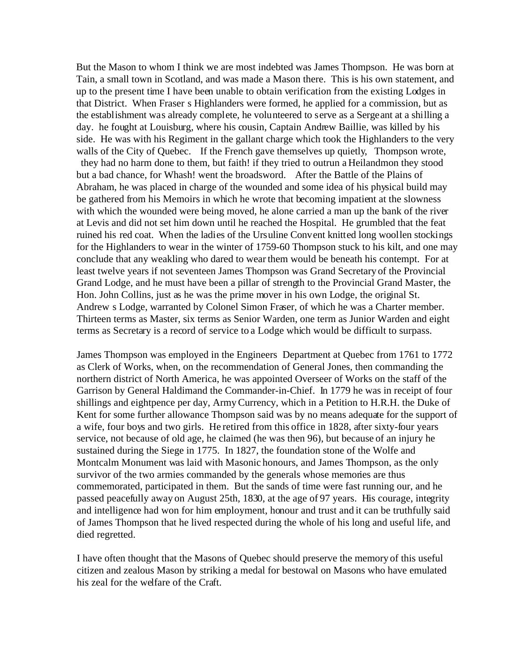But the Mason to whom I think we are most indebted was James Thompson. He was born at Tain, a small town in Scotland, and was made a Mason there. This is his own statement, and up to the present time I have been unable to obtain verification from the existing Lodges in that District. When Fraser s Highlanders were formed, he applied for a commission, but as the establishment was already complete, he volunteered to serve as a Sergeant at a shilling a day. he fought at Louisburg, where his cousin, Captain Andrew Baillie, was killed by his side. He was with his Regiment in the gallant charge which took the Highlanders to the very walls of the City of Quebec. If the French gave themselves up quietly, Thompson wrote, they had no harm done to them, but faith! if they tried to outrun a Heilandmon they stood but a bad chance, for Whash! went the broadsword. After the Battle of the Plains of Abraham, he was placed in charge of the wounded and some idea of his physical build may be gathered from his Memoirs in which he wrote that becoming impatient at the slowness with which the wounded were being moved, he alone carried a man up the bank of the river at Levis and did not set him down until he reached the Hospital. He grumbled that the feat ruined his red coat. When the ladies of the Ursuline Convent knitted long woollen stockings for the Highlanders to wear in the winter of 1759-60 Thompson stuck to his kilt, and one may conclude that any weakling who dared to wear them would be beneath his contempt. For at least twelve years if not seventeen James Thompson was Grand Secretary of the Provincial Grand Lodge, and he must have been a pillar of strength to the Provincial Grand Master, the Hon. John Collins, just as he was the prime mover in his own Lodge, the original St. Andrew s Lodge, warranted by Colonel Simon Fraser, of which he was a Charter member. Thirteen terms as Master, six terms as Senior Warden, one term as Junior Warden and eight terms as Secretary is a record of service to a Lodge which would be difficult to surpass.

James Thompson was employed in the Engineers Department at Quebec from 1761 to 1772 as Clerk of Works, when, on the recommendation of General Jones, then commanding the northern district of North America, he was appointed Overseer of Works on the staff of the Garrison by General Haldimand the Commander-in-Chief. In 1779 he was in receipt of four shillings and eightpence per day, Army Currency, which in a Petition to H.R.H. the Duke of Kent for some further allowance Thompson said was by no means adequate for the support of a wife, four boys and two girls. He retired from this office in 1828, after sixty-four years service, not because of old age, he claimed (he was then 96), but because of an injury he sustained during the Siege in 1775. In 1827, the foundation stone of the Wolfe and Montcalm Monument was laid with Masonic honours, and James Thompson, as the only survivor of the two armies commanded by the generals whose memories are thus commemorated, participated in them. But the sands of time were fast running our, and he passed peacefully away on August 25th, 1830, at the age of 97 years. His courage, integrity and intelligence had won for him employment, honour and trust and it can be truthfully said of James Thompson that he lived respected during the whole of his long and useful life, and died regretted.

I have often thought that the Masons of Quebec should preserve the memory of this useful citizen and zealous Mason by striking a medal for bestowal on Masons who have emulated his zeal for the welfare of the Craft.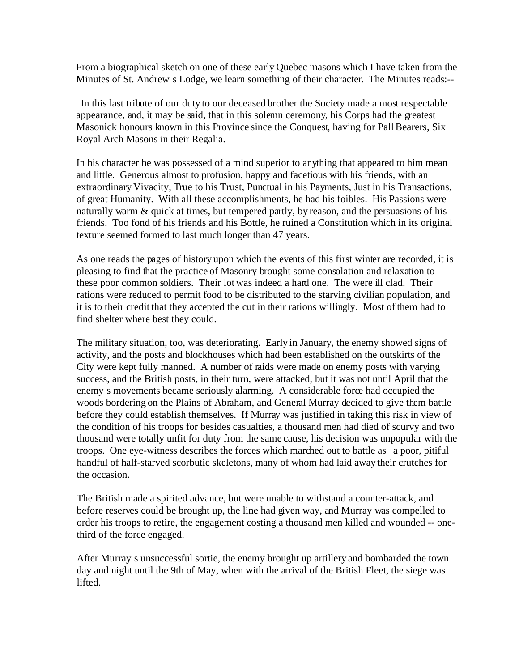From a biographical sketch on one of these early Quebec masons which I have taken from the Minutes of St. Andrew s Lodge, we learn something of their character. The Minutes reads:--

 In this last tribute of our duty to our deceased brother the Society made a most respectable appearance, and, it may be said, that in this solemn ceremony, his Corps had the greatest Masonick honours known in this Province since the Conquest, having for Pall Bearers, Six Royal Arch Masons in their Regalia.

In his character he was possessed of a mind superior to anything that appeared to him mean and little. Generous almost to profusion, happy and facetious with his friends, with an extraordinary Vivacity, True to his Trust, Punctual in his Payments, Just in his Transactions, of great Humanity. With all these accomplishments, he had his foibles. His Passions were naturally warm  $\&$  quick at times, but tempered partly, by reason, and the persuasions of his friends. Too fond of his friends and his Bottle, he ruined a Constitution which in its original texture seemed formed to last much longer than 47 years.

As one reads the pages of history upon which the events of this first winter are recorded, it is pleasing to find that the practice of Masonry brought some consolation and relaxation to these poor common soldiers. Their lot was indeed a hard one. The were ill clad. Their rations were reduced to permit food to be distributed to the starving civilian population, and it is to their credit that they accepted the cut in their rations willingly. Most of them had to find shelter where best they could.

The military situation, too, was deteriorating. Early in January, the enemy showed signs of activity, and the posts and blockhouses which had been established on the outskirts of the City were kept fully manned. A number of raids were made on enemy posts with varying success, and the British posts, in their turn, were attacked, but it was not until April that the enemy s movements became seriously alarming. A considerable force had occupied the woods bordering on the Plains of Abraham, and General Murray decided to give them battle before they could establish themselves. If Murray was justified in taking this risk in view of the condition of his troops for besides casualties, a thousand men had died of scurvy and two thousand were totally unfit for duty from the same cause, his decision was unpopular with the troops. One eye-witness describes the forces which marched out to battle as a poor, pitiful handful of half-starved scorbutic skeletons, many of whom had laid away their crutches for the occasion.

The British made a spirited advance, but were unable to withstand a counter-attack, and before reserves could be brought up, the line had given way, and Murray was compelled to order his troops to retire, the engagement costing a thousand men killed and wounded -- onethird of the force engaged.

After Murray s unsuccessful sortie, the enemy brought up artillery and bombarded the town day and night until the 9th of May, when with the arrival of the British Fleet, the siege was lifted.